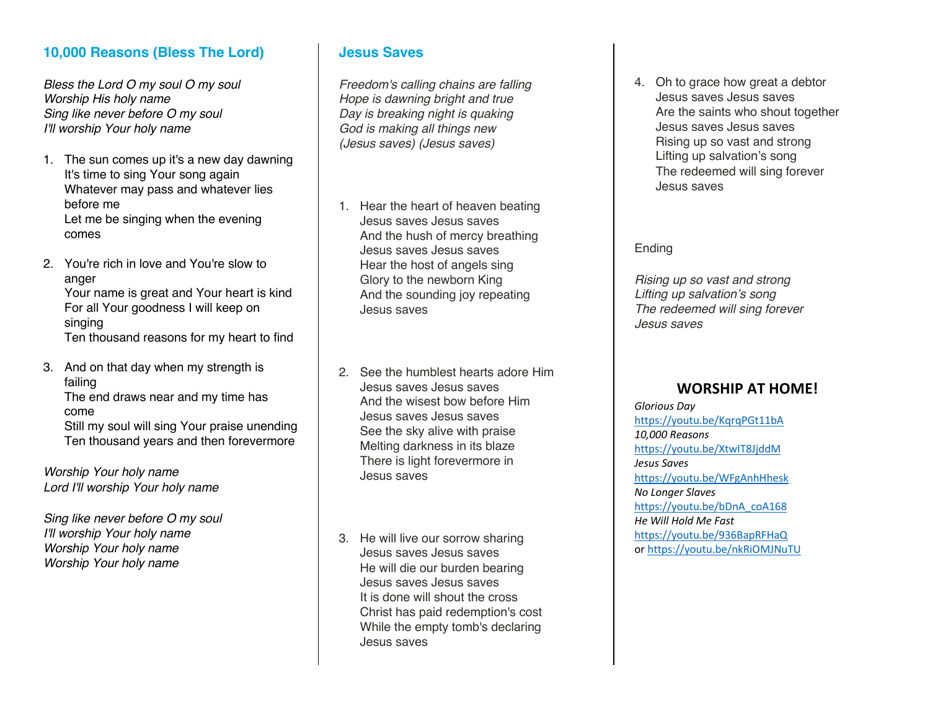## **10,000 Reasons (Bless The Lord)**

*Bless the Lord O my soul O my soul Worship His holy name Sing like never before O my soul I'll worship Your holy name*

- 1. The sun comes up it's a new day dawning It's time to sing Your song again Whatever may pass and whatever lies before me Let me be singing when the evening comes
- 2. You're rich in love and You're slow to anger Your name is great and Your heart is kind For all Your goodness I will keep on singing Ten thousand reasons for my heart to find
- 3. And on that day when my strength is failing The end draws near and my time has come Still my soul will sing Your praise unending Ten thousand years and then forevermore

*Worship Your holy name Lord I'll worship Your holy name*

*Sing like never before O my soul I'll worship Your holy name Worship Your holy name Worship Your holy name*

#### **Jesus Saves**

*Freedom's calling chains are falling Hope is dawning bright and true Day is breaking night is quaking God is making all things new (Jesus saves) (Jesus saves)*

- 1. Hear the heart of heaven beating Jesus saves Jesus saves And the hush of mercy breathing Jesus saves Jesus saves Hear the host of angels sing Glory to the newborn King And the sounding joy repeating Jesus saves
- 2. See the humblest hearts adore Him Jesus saves Jesus saves And the wisest bow before Him Jesus saves Jesus saves See the sky alive with praise Melting darkness in its blaze There is light forevermore in Jesus saves
- 3. He will live our sorrow sharing Jesus saves Jesus saves He will die our burden bearing Jesus saves Jesus saves It is done will shout the cross Christ has paid redemption's cost While the empty tomb's declaring Jesus saves

4. Oh to grace how great a debtor Jesus saves Jesus saves Are the saints who shout together Jesus saves Jesus saves Rising up so vast and strong Lifting up salvation's song The redeemed will sing forever Jesus saves

#### Ending

*Rising up so vast and strong Lifting up salvation's song The redeemed will sing forever Jesus saves*

## **WORSHIP AT HOME!**

*Glorious Day* https://youtu.be/KqrqPGt11bA *10,000 Reasons* https://youtu.be/XtwIT8JjddM *Jesus Saves* https://youtu.be/WFgAnhHhesk *No Longer Slaves* https://youtu.be/bDnA\_coA168 *He Will Hold Me Fast* https://youtu.be/936BapRFHaQ or https://youtu.be/nkRiOMJNuTU